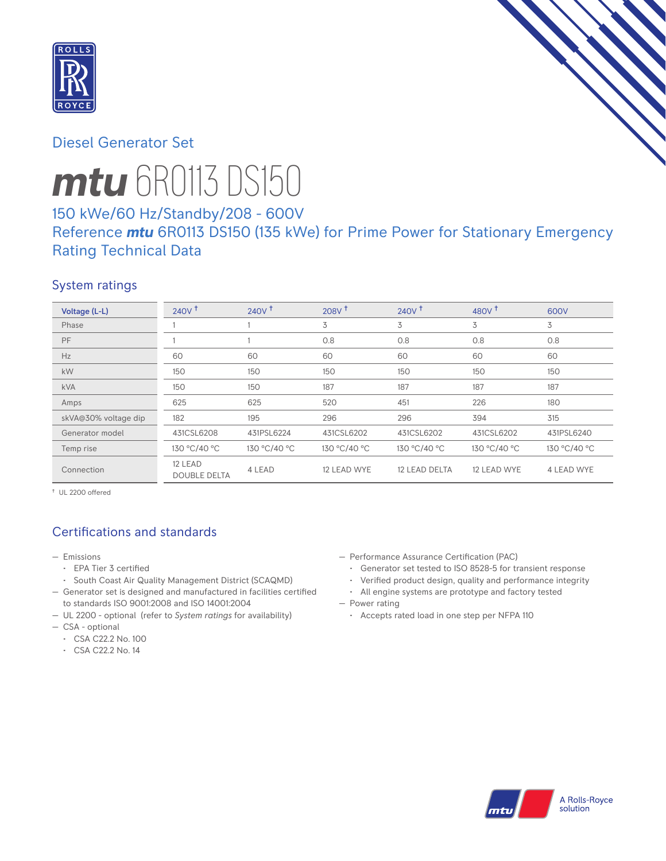

# Diesel Generator Set



# *mtu* 6R0113 DS150

# 150 kWe/60 Hz/Standby/208 - 600V

# Reference *mtu* 6R0113 DS150 (135 kWe) for Prime Power for Stationary Emergency Rating Technical Data

# System ratings

| Voltage (L-L)        | 240V <sup>†</sup>              | $240V$ <sup>+</sup> | 208V <sup>†</sup> | 240V <sup>†</sup> | 480 $V†$     | 600V              |
|----------------------|--------------------------------|---------------------|-------------------|-------------------|--------------|-------------------|
| Phase                |                                |                     | 3                 | 3                 | 3            | 3                 |
| PF                   |                                |                     | 0.8               | 0.8               | 0.8          | 0.8               |
| Hz                   | 60                             | 60                  | 60                | 60                | 60           | 60                |
| kW                   | 150                            | 150                 | 150               | 150               | 150          | 150               |
| <b>kVA</b>           | 150                            | 150                 | 187               | 187               | 187          | 187               |
| Amps                 | 625                            | 625                 | 520               | 451               | 226          | 180               |
| skVA@30% voltage dip | 182                            | 195                 | 296               | 296               | 394          | 315               |
| Generator model      | 431CSL6208                     | 431PSL6224          | 431CSL6202        | 431CSL6202        | 431CSL6202   | 431PSL6240        |
| Temp rise            | 130 °C/40 °C                   | 130 °C/40 °C        | 130 °C/40 °C      | 130 °C/40 °C      | 130 °C/40 °C | 130 °C/40 °C      |
| Connection           | 12 LEAD<br><b>DOUBLE DELTA</b> | 4 LEAD              | 12 LEAD WYE       | 12 LEAD DELTA     | 12 LEAD WYE  | <b>4 LEAD WYE</b> |

† UL 2200 offered

# Certifications and standards

- Emissions
	- EPA Tier 3 certified
	- South Coast Air Quality Management District (SCAQMD)
- Generator set is designed and manufactured in facilities certified to standards ISO 9001:2008 and ISO 14001:2004
- UL 2200 optional (refer to *System ratings* for availability)
- CSA optional
	- CSA C22.2 No. 100
	- CSA C22.2 No. 14
- Performance Assurance Certification (PAC)
	- Generator set tested to ISO 8528-5 for transient response
	- Verified product design, quality and performance integrity
- All engine systems are prototype and factory tested — Power rating
	- Accepts rated load in one step per NFPA 110

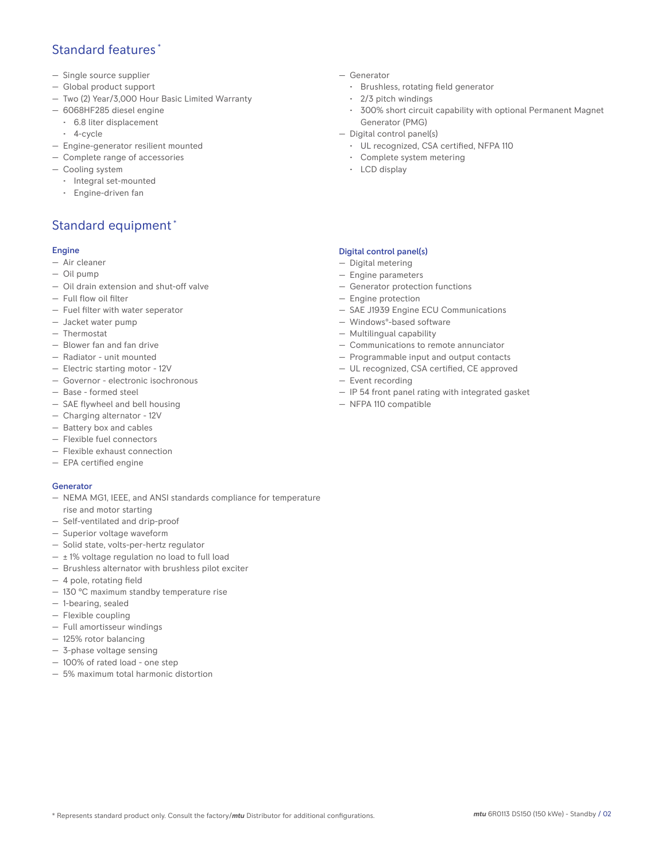## Standard features \*

- Single source supplier
- Global product support
- Two (2) Year/3,000 Hour Basic Limited Warranty
- 6068HF285 diesel engine
	- 6.8 liter displacement
	- 4-cycle
- Engine-generator resilient mounted
- Complete range of accessories
- Cooling system
	- Integral set-mounted
	- Engine-driven fan

# Standard equipment \*

#### Engine

- Air cleaner
- Oil pump
- Oil drain extension and shut-off valve
- Full flow oil filter
- Fuel filter with water seperator
- Jacket water pump
- Thermostat
- Blower fan and fan drive
- Radiator unit mounted
- Electric starting motor 12V
- Governor electronic isochronous
- Base formed steel
- SAE flywheel and bell housing
- Charging alternator 12V
- Battery box and cables
- Flexible fuel connectors
- Flexible exhaust connection
- EPA certified engine

#### Generator

- NEMA MG1, IEEE, and ANSI standards compliance for temperature rise and motor starting
- Self-ventilated and drip-proof
- Superior voltage waveform
- Solid state, volts-per-hertz regulator
- $\pm$  1% voltage regulation no load to full load
- Brushless alternator with brushless pilot exciter
- 4 pole, rotating field
- 130 °C maximum standby temperature rise
- 1-bearing, sealed
- Flexible coupling
- Full amortisseur windings
- 125% rotor balancing
- 3-phase voltage sensing
- 100% of rated load one step
- 5% maximum total harmonic distortion
- Generator
	- Brushless, rotating field generator
	- 2/3 pitch windings
	- 300% short circuit capability with optional Permanent Magnet Generator (PMG)
- Digital control panel(s)
	- UL recognized, CSA certified, NFPA 110
	- Complete system metering
	- LCD display

## Digital control panel(s)

- Digital metering
- Engine parameters
- Generator protection functions
- Engine protection
- SAE J1939 Engine ECU Communications
- Windows®-based software
- Multilingual capability
- Communications to remote annunciator
- Programmable input and output contacts
- UL recognized, CSA certified, CE approved
- Event recording
- IP 54 front panel rating with integrated gasket
- NFPA 110 compatible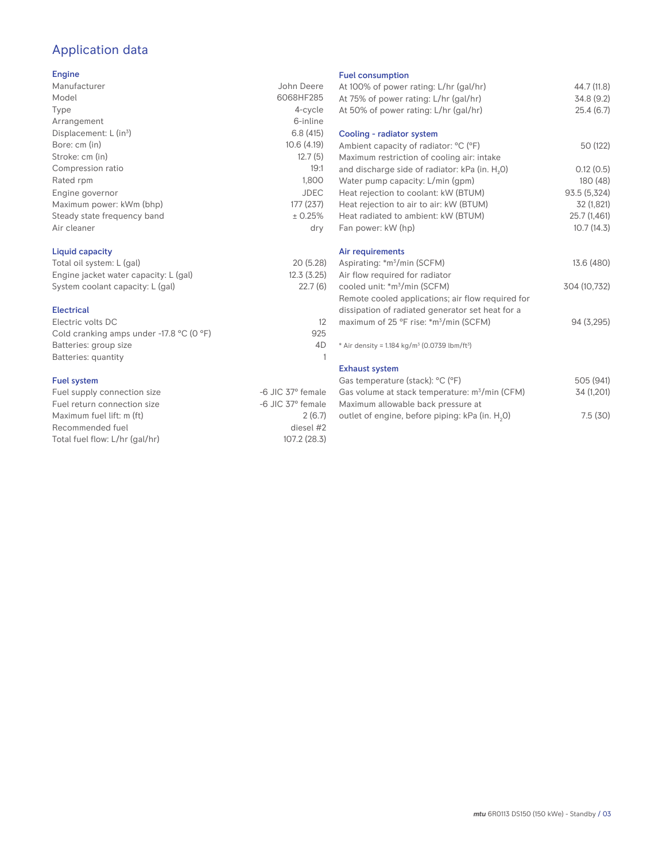# Application data

### Engine

| Manufacturer                | John Deere  |
|-----------------------------|-------------|
| Model                       | 6068HF285   |
| Type                        | 4-cycle     |
| Arrangement                 | 6-inline    |
| Displacement: $L (in3)$     | 6.8(415)    |
| Bore: cm (in)               | 10.6(4.19)  |
| Stroke: cm (in)             | 12.7(5)     |
| Compression ratio           | 19:1        |
| Rated rpm                   | 1,800       |
| Engine governor             | <b>JDEC</b> |
| Maximum power: kWm (bhp)    | 177(237)    |
| Steady state frequency band | ± 0.25%     |
| Air cleaner                 | dry         |
|                             |             |

## Liquid capacity

| Total oil system: L (gal)             | 20(5.28)   |
|---------------------------------------|------------|
| Engine jacket water capacity: L (gal) | 12.3(3.25) |
| System coolant capacity: L (gal)      | 22.7(6)    |

#### Electrical

| Electric volts DC                                            |     |
|--------------------------------------------------------------|-----|
| Cold cranking amps under -17.8 $^{\circ}$ C (O $^{\circ}$ F) | 925 |
| Batteries: group size                                        | 4D  |
| Batteries: quantity                                          |     |
|                                                              |     |

### Fuel system

| -6 JIC 37° female |
|-------------------|
| -6 JIC 37° female |
| 2(6.7)            |
| diesel #2         |
| 107.2 (28.3)      |
|                   |

#### Fuel consumption

| At 100% of power rating: L/hr (gal/hr)                                  | 44.7 (11.8)  |
|-------------------------------------------------------------------------|--------------|
| At 75% of power rating: L/hr (gal/hr)                                   | 34.8 (9.2)   |
| At 50% of power rating: L/hr (gal/hr)                                   | 25.4(6.7)    |
|                                                                         |              |
| Cooling - radiator system                                               |              |
| Ambient capacity of radiator: °C (°F)                                   | 50 (122)     |
| Maximum restriction of cooling air: intake                              |              |
| and discharge side of radiator: kPa (in. H <sub>2</sub> 0)              | 0.12(0.5)    |
| Water pump capacity: L/min (gpm)                                        | 180 (48)     |
| Heat rejection to coolant: kW (BTUM)                                    | 93.5 (5,324) |
| Heat rejection to air to air: kW (BTUM)                                 | 32 (1,821)   |
| Heat radiated to ambient: kW (BTUM)                                     | 25.7 (1,461) |
|                                                                         | 10.7(14.3)   |
| Fan power: kW (hp)                                                      |              |
| Air requirements                                                        |              |
| Aspirating: *m <sup>3</sup> /min (SCFM)                                 | 13.6 (480)   |
| Air flow required for radiator                                          |              |
| cooled unit: *m <sup>3</sup> /min (SCFM)                                | 304 (10,732) |
| Remote cooled applications; air flow required for                       |              |
| dissipation of radiated generator set heat for a                        |              |
| maximum of 25 °F rise: *m <sup>3</sup> /min (SCFM)                      | 94 (3,295)   |
|                                                                         |              |
| * Air density = $1.184$ kg/m <sup>3</sup> (0.0739 lbm/ft <sup>3</sup> ) |              |
| <b>Exhaust system</b>                                                   |              |
| Gas temperature (stack): °C (°F)                                        | 505 (941)    |
| Gas volume at stack temperature: m <sup>3</sup> /min (CFM)              | 34 (1,201)   |
| Maximum allowable back pressure at                                      |              |
|                                                                         | 7.5(30)      |
| outlet of engine, before piping: kPa (in. H <sub>2</sub> 0)             |              |